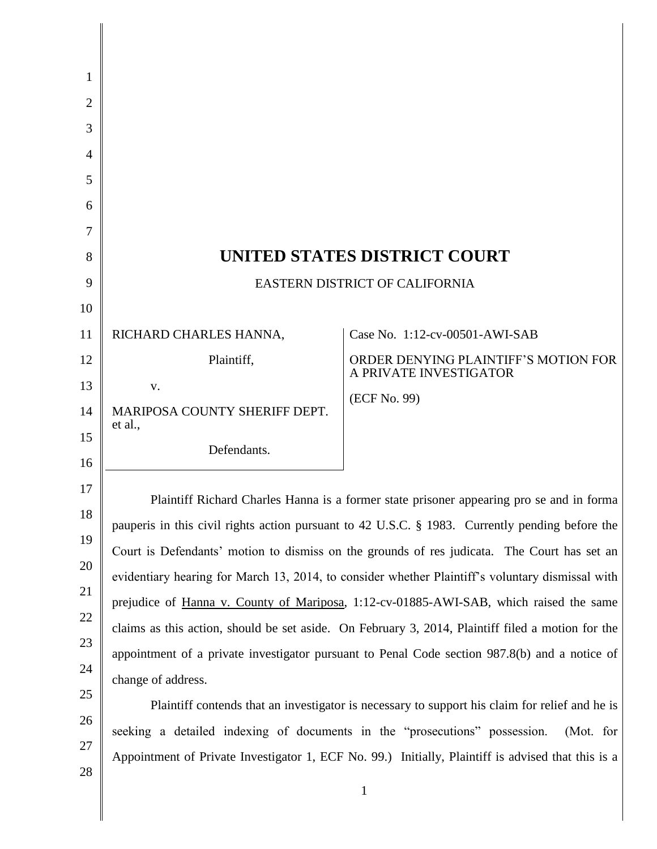| 1              |                                                                                                    |                                                                |
|----------------|----------------------------------------------------------------------------------------------------|----------------------------------------------------------------|
| 2              |                                                                                                    |                                                                |
| 3              |                                                                                                    |                                                                |
| $\overline{4}$ |                                                                                                    |                                                                |
| 5              |                                                                                                    |                                                                |
| 6              |                                                                                                    |                                                                |
| 7              |                                                                                                    |                                                                |
| 8              | UNITED STATES DISTRICT COURT                                                                       |                                                                |
| 9              | EASTERN DISTRICT OF CALIFORNIA                                                                     |                                                                |
| 10             |                                                                                                    |                                                                |
| 11             | RICHARD CHARLES HANNA,                                                                             | Case No. 1:12-cv-00501-AWI-SAB                                 |
| 12             | Plaintiff,                                                                                         | ORDER DENYING PLAINTIFF'S MOTION FOR<br>A PRIVATE INVESTIGATOR |
| 13             | V.                                                                                                 | (ECF No. 99)                                                   |
| 14             | MARIPOSA COUNTY SHERIFF DEPT.<br>et al.,                                                           |                                                                |
| 15             | Defendants.                                                                                        |                                                                |
| 16             |                                                                                                    |                                                                |
| 17             | Plaintiff Richard Charles Hanna is a former state prisoner appearing pro se and in forma           |                                                                |
| 18             | pauperis in this civil rights action pursuant to 42 U.S.C. § 1983. Currently pending before the    |                                                                |
| 19             | Court is Defendants' motion to dismiss on the grounds of res judicata. The Court has set an        |                                                                |
| 20             | evidentiary hearing for March 13, 2014, to consider whether Plaintiff's voluntary dismissal with   |                                                                |
| 21             | prejudice of Hanna v. County of Mariposa, 1:12-cv-01885-AWI-SAB, which raised the same             |                                                                |
| 22             | claims as this action, should be set aside. On February 3, 2014, Plaintiff filed a motion for the  |                                                                |
| 23             | appointment of a private investigator pursuant to Penal Code section 987.8(b) and a notice of      |                                                                |
| 24<br>25       | change of address.                                                                                 |                                                                |
| 26             | Plaintiff contends that an investigator is necessary to support his claim for relief and he is     |                                                                |
| 27             | seeking a detailed indexing of documents in the "prosecutions" possession.<br>(Mot. for            |                                                                |
| 28             | Appointment of Private Investigator 1, ECF No. 99.) Initially, Plaintiff is advised that this is a |                                                                |
|                |                                                                                                    | $\mathbf{1}$                                                   |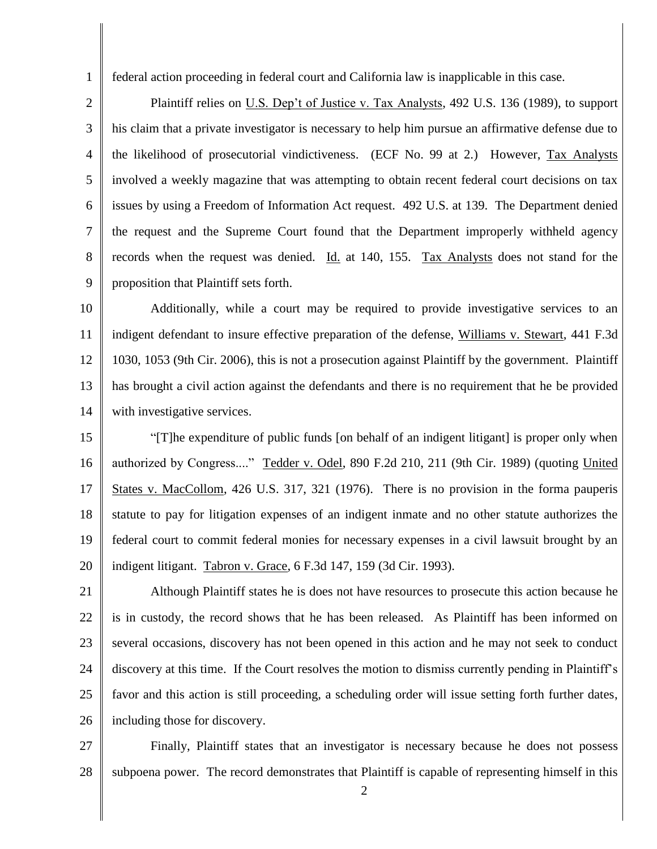federal action proceeding in federal court and California law is inapplicable in this case.

1

2 3 4 5 6 7 8 9 Plaintiff relies on U.S. Dep't of Justice v. Tax Analysts, 492 U.S. 136 (1989), to support his claim that a private investigator is necessary to help him pursue an affirmative defense due to the likelihood of prosecutorial vindictiveness. (ECF No. 99 at 2.) However, Tax Analysts involved a weekly magazine that was attempting to obtain recent federal court decisions on tax issues by using a Freedom of Information Act request. 492 U.S. at 139. The Department denied the request and the Supreme Court found that the Department improperly withheld agency records when the request was denied. Id. at 140, 155. Tax Analysts does not stand for the proposition that Plaintiff sets forth.

10 11 12 13 14 Additionally, while a court may be required to provide investigative services to an indigent defendant to insure effective preparation of the defense, Williams v. Stewart, 441 F.3d 1030, 1053 (9th Cir. 2006), this is not a prosecution against Plaintiff by the government. Plaintiff has brought a civil action against the defendants and there is no requirement that he be provided with investigative services.

15 16 17 18 19 20 "[T]he expenditure of public funds [on behalf of an indigent litigant] is proper only when authorized by Congress...." Tedder v. Odel, 890 F.2d 210, 211 (9th Cir. 1989) (quoting United States v. MacCollom, 426 U.S. 317, 321 (1976). There is no provision in the forma pauperis statute to pay for litigation expenses of an indigent inmate and no other statute authorizes the federal court to commit federal monies for necessary expenses in a civil lawsuit brought by an indigent litigant. Tabron v. Grace, 6 F.3d 147, 159 (3d Cir. 1993).

21 22 23 24 25 26 Although Plaintiff states he is does not have resources to prosecute this action because he is in custody, the record shows that he has been released. As Plaintiff has been informed on several occasions, discovery has not been opened in this action and he may not seek to conduct discovery at this time. If the Court resolves the motion to dismiss currently pending in Plaintiff's favor and this action is still proceeding, a scheduling order will issue setting forth further dates, including those for discovery.

27 28 Finally, Plaintiff states that an investigator is necessary because he does not possess subpoena power. The record demonstrates that Plaintiff is capable of representing himself in this